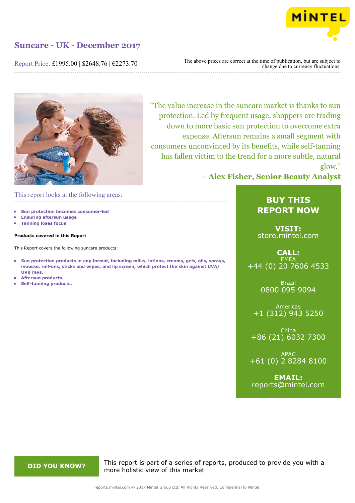

## Report Price: £1995.00 | \$2648.76 | €2273.70

The above prices are correct at the time of publication, but are subject to change due to currency fluctuations.



"The value increase in the suncare market is thanks to sun protection. Led by frequent usage, shoppers are trading down to more basic sun protection to overcome extra expense. Aftersun remains a small segment with consumers unconvinced by its benefits, while self-tanning has fallen victim to the trend for a more subtle, natural glow."

**– Alex Fisher, Senior Beauty Analyst**

## This report looks at the following areas:

- **• Sun protection becomes consumer-led**
- **• Ensuring aftersun usage**
- **• Tanning loses focus**

### **Products covered in this Report**

This Report covers the following suncare products:

- **• Sun protection products in any format, including milks, lotions, creams, gels, oils, sprays, mousse, roll-ons, sticks and wipes, and lip screen, which protect the skin against UVA/ UVB rays.**
- **• Aftersun products.**
- **• Self-tanning products.**

# **BUY THIS REPORT NOW**

**VISIT:** [store.mintel.com](http://reports.mintel.com//display/store/794403/)

## **CALL: EMEA** +44 (0) 20 7606 4533

Brazil 0800 095 9094

Americas +1 (312) 943 5250

China +86 (21) 6032 7300

APAC +61 (0) 2 8284 8100

**EMAIL:** [reports@mintel.com](mailto:reports@mintel.com)

**DID YOU KNOW?** This report is part of a series of reports, produced to provide you with a more holistic view of this market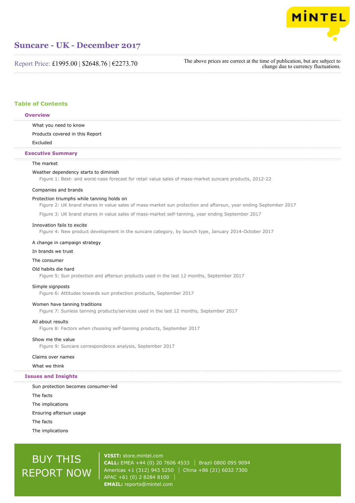

Report Price: £1995.00 | \$2648.76 | €2273.70

The above prices are correct at the time of publication, but are subject to change due to currency fluctuations.

## **Table of Contents**

### **Overview**

What you need to know

Products covered in this Report

Excluded

### **Executive Summary**

### The market

### Weather dependency starts to diminish

Figure 1: Best- and worst-case forecast for retail value sales of mass-market suncare products, 2012-22

### Companies and brands

### Protection triumphs while tanning holds on

Figure 2: UK brand shares in value sales of mass-market sun protection and aftersun, year ending September 2017

Figure 3: UK brand shares in value sales of mass-market self-tanning, year ending September 2017

### Innovation fails to excite

Figure 4: New product development in the suncare category, by launch type, January 2014-October 2017

### A change in campaign strategy

### In brands we trust

### The consumer

### Old habits die hard

Figure 5: Sun protection and aftersun products used in the last 12 months, September 2017

### Simple signposts

Figure 6: Attitudes towards sun protection products, September 2017

### Women have tanning traditions

Figure 7: Sunless tanning products/services used in the last 12 months, September 2017

### All about results

Figure 8: Factors when choosing self-tanning products, September 2017

### Show me the value

Figure 9: Suncare correspondence analysis, September 2017

### Claims over names

What we think

### **Issues and Insights**

Sun protection becomes consumer-led The facts The implications Ensuring aftersun usage The facts The implications

# BUY THIS REPORT NOW

**VISIT:** [store.mintel.com](http://reports.mintel.com//display/store/794403/) **CALL:** EMEA +44 (0) 20 7606 4533 | Brazil 0800 095 9094 Americas +1 (312) 943 5250 | China +86 (21) 6032 7300 APAC +61 (0) 2 8284 8100 **EMAIL:** [reports@mintel.com](mailto:reports@mintel.com)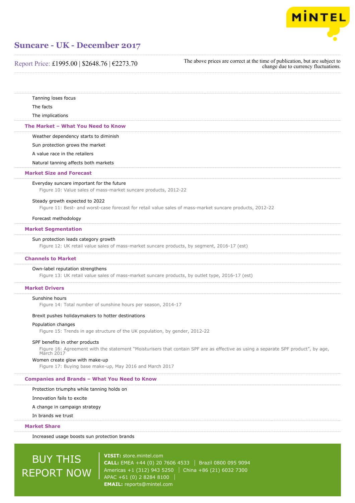

Report Price: £1995.00 | \$2648.76 | €2273.70

The above prices are correct at the time of publication, but are subject to change due to currency fluctuations.

| Increased usage boosts sun protection brands                                                                                                                                      |
|-----------------------------------------------------------------------------------------------------------------------------------------------------------------------------------|
| <b>Market Share</b>                                                                                                                                                               |
| In brands we trust                                                                                                                                                                |
| A change in campaign strategy                                                                                                                                                     |
| Innovation fails to excite                                                                                                                                                        |
| Protection triumphs while tanning holds on                                                                                                                                        |
| <b>Companies and Brands - What You Need to Know</b>                                                                                                                               |
| Women create glow with make-up<br>Figure 17: Buying base make-up, May 2016 and March 2017                                                                                         |
| SPF benefits in other products<br>Figure 16: Agreement with the statement "Moisturisers that contain SPF are as effective as using a separate SPF product", by age,<br>March 2017 |
| Figure 15: Trends in age structure of the UK population, by gender, 2012-22                                                                                                       |
| Population changes                                                                                                                                                                |
| Brexit pushes holidaymakers to hotter destinations                                                                                                                                |
| Sunshine hours<br>Figure 14: Total number of sunshine hours per season, 2014-17                                                                                                   |
| <b>Market Drivers</b>                                                                                                                                                             |
| Own-label reputation strengthens<br>Figure 13: UK retail value sales of mass-market suncare products, by outlet type, 2016-17 (est)                                               |
| <b>Channels to Market</b>                                                                                                                                                         |
| Sun protection leads category growth<br>Figure 12: UK retail value sales of mass-market suncare products, by segment, 2016-17 (est)                                               |
| <b>Market Segmentation</b>                                                                                                                                                        |
| Forecast methodology                                                                                                                                                              |
| Steady growth expected to 2022<br>Figure 11: Best- and worst-case forecast for retail value sales of mass-market suncare products, 2012-22                                        |
| Everyday suncare important for the future<br>Figure 10: Value sales of mass-market suncare products, 2012-22                                                                      |
| <b>Market Size and Forecast</b>                                                                                                                                                   |
| Natural tanning affects both markets                                                                                                                                              |
| A value race in the retailers                                                                                                                                                     |
| Sun protection grows the market                                                                                                                                                   |
| Weather dependency starts to diminish                                                                                                                                             |
| The Market - What You Need to Know                                                                                                                                                |
| The implications                                                                                                                                                                  |
| The facts                                                                                                                                                                         |

REPORT NOW Americas +1 (312) 943 5250 | China +86 (21) 6032 7300 APAC +61 (0) 2 8284 8100 **EMAIL:** [reports@mintel.com](mailto:reports@mintel.com)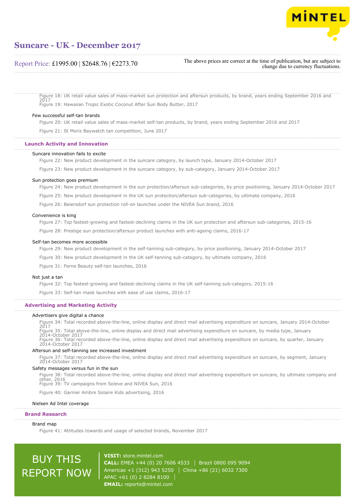

## Report Price: £1995.00 | \$2648.76 | €2273.70

The above prices are correct at the time of publication, but are subject to change due to currency fluctuations.

Figure 18: UK retail value sales of mass-market sun protection and aftersun products, by brand, years ending September 2016 and 2017 Figure 19: Hawaiian Tropic Exotic Coconut After Sun Body Butter, 2017

### Few successful self-tan brands

Figure 20: UK retail value sales of mass-market self-tan products, by brand, years ending September 2016 and 2017

Figure 21: St Moriz Baywatch tan competition, June 2017

### **Launch Activity and Innovation**

### Suncare innovation fails to excite

Figure 22: New product development in the suncare category, by launch type, January 2014-October 2017

Figure 23: New product development in the suncare category, by sub-category, January 2014-October 2017

### Sun protection goes premium

Figure 24: New product development in the sun protection/aftersun sub-categories, by price positioning, January 2014-October 2017

Figure 25: New product development in the UK sun protection/aftersun sub-categories, by ultimate company, 2016

Figure 26: Beiersdorf sun protection roll-on launches under the NIVEA Sun brand, 2016

### Convenience is king

Figure 27: Top fastest-growing and fastest-declining claims in the UK sun protection and aftersun sub-categories, 2015-16 Figure 28: Prestige sun protection/aftersun product launches with anti-ageing claims, 2016-17

### Self-tan becomes more accessible

Figure 29: New product development in the self-tanning sub-category, by price positioning, January 2014-October 2017

Figure 30: New product development in the UK self-tanning sub-category, by ultimate company, 2016

Figure 31: Ferne Beauty self-tan launches, 2016

### Not just a tan

Figure 32: Top fastest-growing and fastest-declining claims in the UK self-tanning sub-category, 2015-16

Figure 33: Self-tan mask launches with ease of use claims, 2016-17

### **Advertising and Marketing Activity**

### Advertisers give digital a chance

Figure 34: Total recorded above-the-line, online display and direct mail advertising expenditure on suncare, January 2014-October 2017 Figure 35: Total above-the-line, online display and direct mail advertising expenditure on suncare, by media type, January 2014-October 2017 Figure 36: Total recorded above-the-line, online display and direct mail advertising expenditure on suncare, by quarter, January 2014-October 2017

#### Aftersun and self-tanning see increased investment

Figure 37: Total recorded above-the-line, online display and direct mail advertising expenditure on suncare, by segment, January 2014-October 2017

### Safety messages versus fun in the sun

Figure 38: Total recorded above-the-line, online display and direct mail advertising expenditure on suncare, by ultimate company and other, 2016 Figure 39: TV campaigns from Soleve and NIVEA Sun, 2016

Figure 40: Garnier Ambre Solaire Kids advertising, 2016

### Nielsen Ad Intel coverage

### **Brand Research**

### Brand map

Figure 41: Attitudes towards and usage of selected brands, November 2017

# BUY THIS REPORT NOW

**VISIT:** [store.mintel.com](http://reports.mintel.com//display/store/794403/) **CALL:** EMEA +44 (0) 20 7606 4533 Brazil 0800 095 9094 Americas +1 (312) 943 5250 | China +86 (21) 6032 7300 APAC +61 (0) 2 8284 8100 **EMAIL:** [reports@mintel.com](mailto:reports@mintel.com)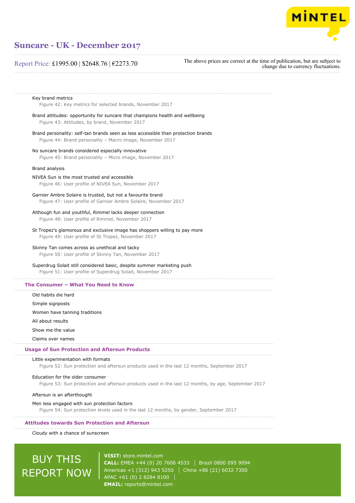

## Report Price: £1995.00 | \$2648.76 | €2273.70

The above prices are correct at the time of publication, but are subject to change due to currency fluctuations.

| Key brand metrics                                         |  |  |  |  |
|-----------------------------------------------------------|--|--|--|--|
| Figure 42: Key metrics for selected brands, November 2017 |  |  |  |  |

Brand attitudes: opportunity for suncare that champions health and wellbeing Figure 43: Attitudes, by brand, November 2017

Brand personality: self-tan brands seen as less accessible than protection brands Figure 44: Brand personality – Macro image, November 2017

No suncare brands considered especially innovative Figure 45: Brand personality – Micro image, November 2017

### Brand analysis

NIVEA Sun is the most trusted and accessible Figure 46: User profile of NIVEA Sun, November 2017

Garnier Ambre Solaire is trusted, but not a favourite brand Figure 47: User profile of Garnier Ambre Solaire, November 2017

### Although fun and youthful, Rimmel lacks deeper connection

Figure 48: User profile of Rimmel, November 2017

St Tropez's glamorous and exclusive image has shoppers willing to pay more Figure 49: User profile of St Tropez, November 2017

### Skinny Tan comes across as unethical and tacky

Figure 50: User profile of Skinny Tan, November 2017

### Superdrug Solait still considered basic, despite summer marketing push

Figure 51: User profile of Superdrug Solait, November 2017

### **The Consumer – What You Need to Know**

Old habits die hard

Simple signposts

Women have tanning traditions

All about results

Show me the value

Claims over names

### **Usage of Sun Protection and Aftersun Products**

### Little experimentation with formats

Figure 52: Sun protection and aftersun products used in the last 12 months, September 2017

### Education for the older consumer

Figure 53: Sun protection and aftersun products used in the last 12 months, by age, September 2017

### Aftersun is an afterthought

### Men less engaged with sun protection factors

Figure 54: Sun protection levels used in the last 12 months, by gender, September 2017

### **Attitudes towards Sun Protection and Aftersun**

Cloudy with a chance of sunscreen

# BUY THIS REPORT NOW

**VISIT:** [store.mintel.com](http://reports.mintel.com//display/store/794403/) **CALL:** EMEA +44 (0) 20 7606 4533 Brazil 0800 095 9094 Americas +1 (312) 943 5250 | China +86 (21) 6032 7300 APAC +61 (0) 2 8284 8100 **EMAIL:** [reports@mintel.com](mailto:reports@mintel.com)